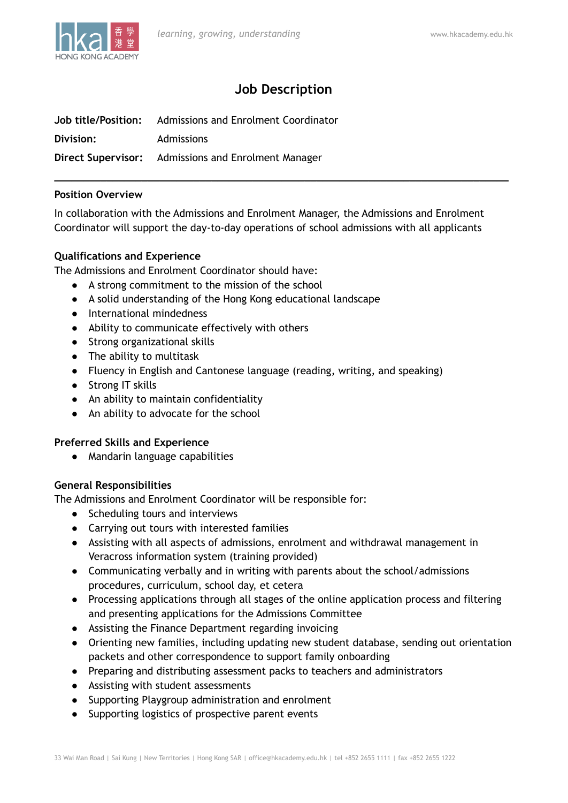

# **Job Description**

**\_\_\_\_\_\_\_\_\_\_\_\_\_\_\_\_\_\_\_\_\_\_\_\_\_\_\_\_\_\_\_\_\_\_\_\_\_\_\_\_\_\_\_\_\_\_\_\_\_\_\_\_\_\_\_\_\_\_\_\_\_\_\_\_\_\_\_\_\_\_\_\_\_\_\_\_\_\_**

|           | <b>Job title/Position:</b> Admissions and Enrolment Coordinator |
|-----------|-----------------------------------------------------------------|
| Division: | Admissions                                                      |
|           | <b>Direct Supervisor:</b> Admissions and Enrolment Manager      |

# **Position Overview**

In collaboration with the Admissions and Enrolment Manager, the Admissions and Enrolment Coordinator will support the day-to-day operations of school admissions with all applicants

# **Qualifications and Experience**

The Admissions and Enrolment Coordinator should have:

- A strong commitment to the mission of the school
- A solid understanding of the Hong Kong educational landscape
- International mindedness
- Ability to communicate effectively with others
- Strong organizational skills
- The ability to multitask
- Fluency in English and Cantonese language (reading, writing, and speaking)
- Strong IT skills
- An ability to maintain confidentiality
- An ability to advocate for the school

### **Preferred Skills and Experience**

● Mandarin language capabilities

### **General Responsibilities**

The Admissions and Enrolment Coordinator will be responsible for:

- Scheduling tours and interviews
- Carrying out tours with interested families
- Assisting with all aspects of admissions, enrolment and withdrawal management in Veracross information system (training provided)
- Communicating verbally and in writing with parents about the school/admissions procedures, curriculum, school day, et cetera
- Processing applications through all stages of the online application process and filtering and presenting applications for the Admissions Committee
- Assisting the Finance Department regarding invoicing
- Orienting new families, including updating new student database, sending out orientation packets and other correspondence to support family onboarding
- Preparing and distributing assessment packs to teachers and administrators
- Assisting with student assessments
- Supporting Playgroup administration and enrolment
- Supporting logistics of prospective parent events